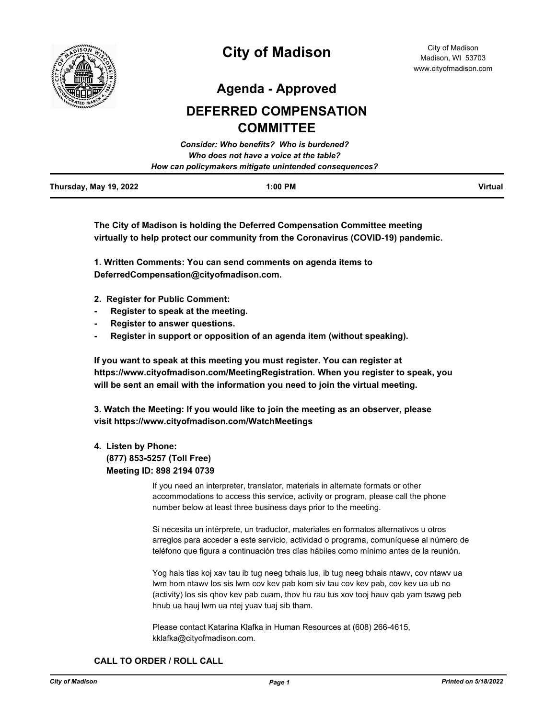

# **City of Madison**

**Agenda - Approved**

# **DEFERRED COMPENSATION COMMITTEE**

|                        | Consider: Who benefits? Who is burdened?               |         |
|------------------------|--------------------------------------------------------|---------|
|                        | Who does not have a voice at the table?                |         |
|                        | How can policymakers mitigate unintended consequences? |         |
| Thursday, May 19, 2022 | $1:00$ PM                                              | Virtual |

**The City of Madison is holding the Deferred Compensation Committee meeting virtually to help protect our community from the Coronavirus (COVID-19) pandemic.**

**1. Written Comments: You can send comments on agenda items to DeferredCompensation@cityofmadison.com.** 

- **2. Register for Public Comment:**
- **- Register to speak at the meeting.**
- **- Register to answer questions.**
- **- Register in support or opposition of an agenda item (without speaking).**

**If you want to speak at this meeting you must register. You can register at https://www.cityofmadison.com/MeetingRegistration. When you register to speak, you will be sent an email with the information you need to join the virtual meeting.**

**3. Watch the Meeting: If you would like to join the meeting as an observer, please visit https://www.cityofmadison.com/WatchMeetings**

## **4. Listen by Phone:**

 **(877) 853-5257 (Toll Free) Meeting ID: 898 2194 0739**

> If you need an interpreter, translator, materials in alternate formats or other accommodations to access this service, activity or program, please call the phone number below at least three business days prior to the meeting.

Si necesita un intérprete, un traductor, materiales en formatos alternativos u otros arreglos para acceder a este servicio, actividad o programa, comuníquese al número de teléfono que figura a continuación tres días hábiles como mínimo antes de la reunión.

Yog hais tias koj xav tau ib tug neeg txhais lus, ib tug neeg txhais ntawv, cov ntawv ua lwm hom ntawv los sis lwm cov kev pab kom siv tau cov kev pab, cov kev ua ub no (activity) los sis qhov kev pab cuam, thov hu rau tus xov tooj hauv qab yam tsawg peb hnub ua hauj lwm ua ntej yuav tuaj sib tham.

Please contact Katarina Klafka in Human Resources at (608) 266-4615, kklafka@cityofmadison.com.

## **CALL TO ORDER / ROLL CALL**